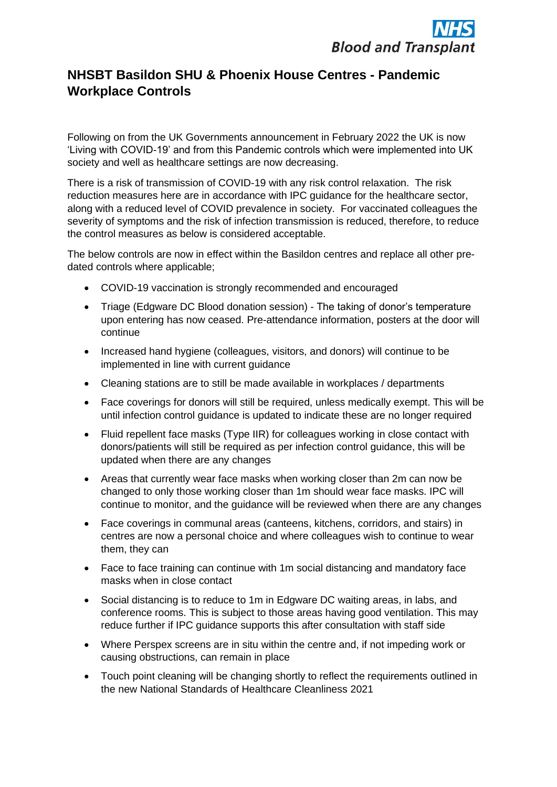## **NHSBT Basildon SHU & Phoenix House Centres - Pandemic Workplace Controls**

Following on from the UK Governments announcement in February 2022 the UK is now 'Living with COVID-19' and from this Pandemic controls which were implemented into UK society and well as healthcare settings are now decreasing.

There is a risk of transmission of COVID-19 with any risk control relaxation. The risk reduction measures here are in accordance with IPC guidance for the healthcare sector, along with a reduced level of COVID prevalence in society. For vaccinated colleagues the severity of symptoms and the risk of infection transmission is reduced, therefore, to reduce the control measures as below is considered acceptable.

The below controls are now in effect within the Basildon centres and replace all other predated controls where applicable;

- COVID-19 vaccination is strongly recommended and encouraged
- Triage (Edgware DC Blood donation session) The taking of donor's temperature upon entering has now ceased. Pre-attendance information, posters at the door will continue
- Increased hand hygiene (colleagues, visitors, and donors) will continue to be implemented in line with current guidance
- Cleaning stations are to still be made available in workplaces / departments
- Face coverings for donors will still be required, unless medically exempt. This will be until infection control guidance is updated to indicate these are no longer required
- Fluid repellent face masks (Type IIR) for colleagues working in close contact with donors/patients will still be required as per infection control guidance, this will be updated when there are any changes
- Areas that currently wear face masks when working closer than 2m can now be changed to only those working closer than 1m should wear face masks. IPC will continue to monitor, and the guidance will be reviewed when there are any changes
- Face coverings in communal areas (canteens, kitchens, corridors, and stairs) in centres are now a personal choice and where colleagues wish to continue to wear them, they can
- Face to face training can continue with 1m social distancing and mandatory face masks when in close contact
- Social distancing is to reduce to 1m in Edgware DC waiting areas, in labs, and conference rooms. This is subject to those areas having good ventilation. This may reduce further if IPC guidance supports this after consultation with staff side
- Where Perspex screens are in situ within the centre and, if not impeding work or causing obstructions, can remain in place
- Touch point cleaning will be changing shortly to reflect the requirements outlined in the new National Standards of Healthcare Cleanliness 2021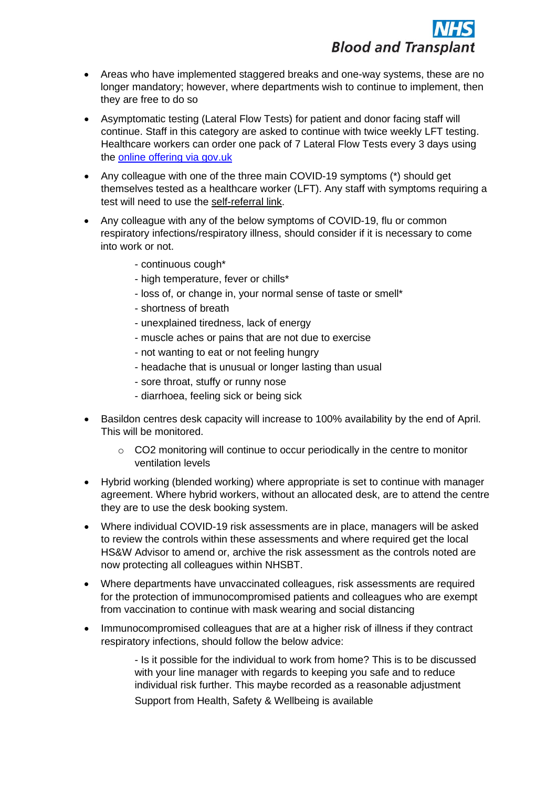- Areas who have implemented staggered breaks and one-way systems, these are no longer mandatory; however, where departments wish to continue to implement, then they are free to do so
- Asymptomatic testing (Lateral Flow Tests) for patient and donor facing staff will continue. Staff in this category are asked to continue with twice weekly LFT testing. Healthcare workers can order one pack of 7 Lateral Flow Tests every 3 days using the [online offering via gov.uk](https://www.gov.uk/order-coronavirus-rapid-lateral-flow-tests)
- Any colleague with one of the three main COVID-19 symptoms (\*) should get themselves tested as a healthcare worker (LFT). Any staff with symptoms requiring a test will need to use the [self-referral link.](https://www.gov.uk/order-coronavirus-rapid-lateral-flow-tests)
- Any colleague with any of the below symptoms of COVID-19, flu or common respiratory infections/respiratory illness, should consider if it is necessary to come into work or not.
	- continuous cough\*
	- high temperature, fever or chills\*
	- loss of, or change in, your normal sense of taste or smell\*
	- shortness of breath
	- unexplained tiredness, lack of energy
	- muscle aches or pains that are not due to exercise
	- not wanting to eat or not feeling hungry
	- headache that is unusual or longer lasting than usual
	- sore throat, stuffy or runny nose
	- diarrhoea, feeling sick or being sick
- Basildon centres desk capacity will increase to 100% availability by the end of April. This will be monitored.
	- o CO2 monitoring will continue to occur periodically in the centre to monitor ventilation levels
- Hybrid working (blended working) where appropriate is set to continue with manager agreement. Where hybrid workers, without an allocated desk, are to attend the centre they are to use the desk booking system.
- Where individual COVID-19 risk assessments are in place, managers will be asked to review the controls within these assessments and where required get the local HS&W Advisor to amend or, archive the risk assessment as the controls noted are now protecting all colleagues within NHSBT.
- Where departments have unvaccinated colleagues, risk assessments are required for the protection of immunocompromised patients and colleagues who are exempt from vaccination to continue with mask wearing and social distancing
- Immunocompromised colleagues that are at a higher risk of illness if they contract respiratory infections, should follow the below advice:

- Is it possible for the individual to work from home? This is to be discussed with your line manager with regards to keeping you safe and to reduce individual risk further. This maybe recorded as a reasonable adjustment Support from Health, Safety & Wellbeing is available